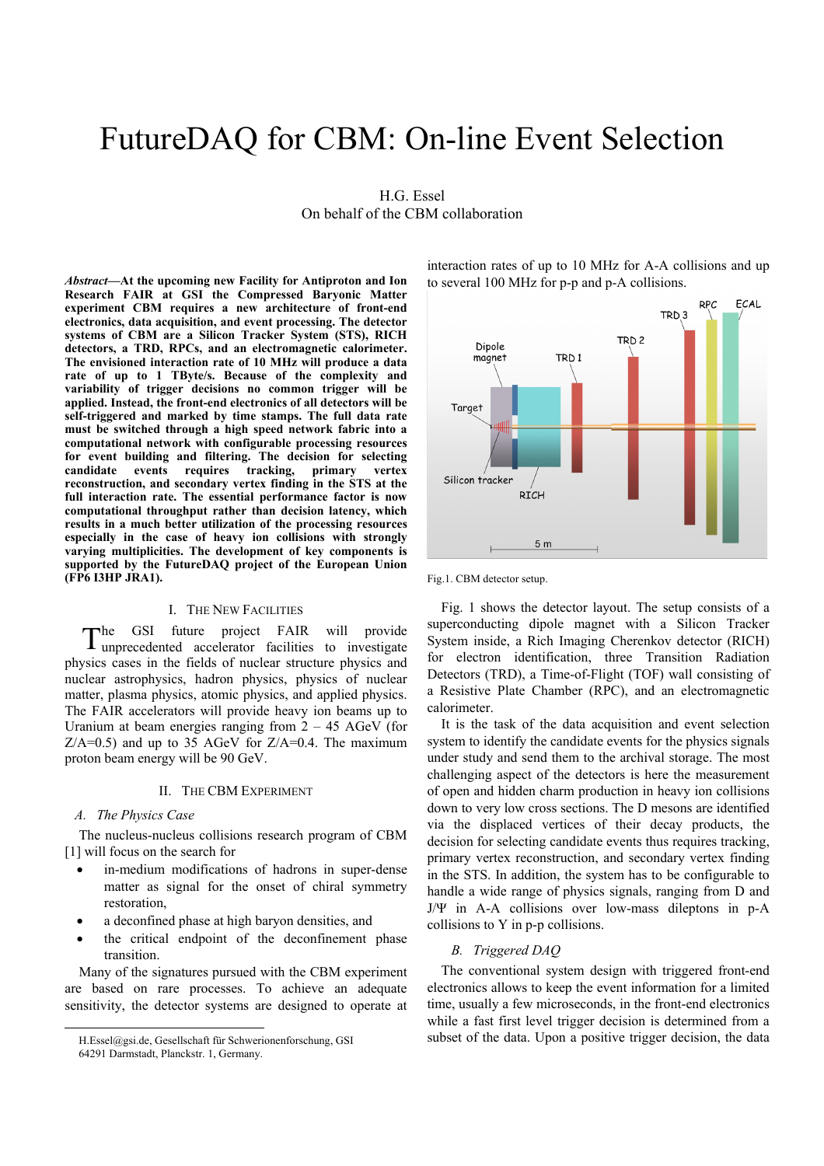# FutureDAQ for CBM: On-line Event Selection

H.G. Essel On behalf of the CBM collaboration

*Abstract***—At the upcoming new Facility for Antiproton and Ion Research FAIR at GSI the Compressed Baryonic Matter experiment CBM requires a new architecture of front-end electronics, data acquisition, and event processing. The detector systems of CBM are a Silicon Tracker System (STS), RICH detectors, a TRD, RPCs, and an electromagnetic calorimeter. The envisioned interaction rate of 10 MHz will produce a data rate of up to 1 TByte/s. Because of the complexity and variability of trigger decisions no common trigger will be applied. Instead, the front-end electronics of all detectors will be self-triggered and marked by time stamps. The full data rate must be switched through a high speed network fabric into a computational network with configurable processing resources for event building and filtering. The decision for selecting candidate events requires tracking, primary vertex reconstruction, and secondary vertex finding in the STS at the full interaction rate. The essential performance factor is now computational throughput rather than decision latency, which results in a much better utilization of the processing resources especially in the case of heavy ion collisions with strongly varying multiplicities. The development of key components is supported by the FutureDAQ project of the European Union (FP6 I3HP JRA1).** 

#### I. THE NEW FACILITIES

he GSI future project FAIR will provide The GSI future project FAIR will provide unprecedented accelerator facilities to investigate physics cases in the fields of nuclear structure physics and nuclear astrophysics, hadron physics, physics of nuclear matter, plasma physics, atomic physics, and applied physics. The FAIR accelerators will provide heavy ion beams up to Uranium at beam energies ranging from  $2 - 45$  AGeV (for  $Z/A=0.5$ ) and up to 35 AGeV for  $Z/A=0.4$ . The maximum proton beam energy will be 90 GeV.

#### II. THE CBM EXPERIMENT

#### *A. The Physics Case*

The nucleus-nucleus collisions research program of CBM [1] will focus on the search for

- in-medium modifications of hadrons in super-dense matter as signal for the onset of chiral symmetry restoration,
- a deconfined phase at high baryon densities, and
- the critical endpoint of the deconfinement phase transition.

Many of the signatures pursued with the CBM experiment are based on rare processes. To achieve an adequate sensitivity, the detector systems are designed to operate at interaction rates of up to 10 MHz for A-A collisions and up to several 100 MHz for p-p and p-A collisions.



Fig.1. CBM detector setup.

Fig. 1 shows the detector layout. The setup consists of a superconducting dipole magnet with a Silicon Tracker System inside, a Rich Imaging Cherenkov detector (RICH) for electron identification, three Transition Radiation Detectors (TRD), a Time-of-Flight (TOF) wall consisting of a Resistive Plate Chamber (RPC), and an electromagnetic calorimeter.

It is the task of the data acquisition and event selection system to identify the candidate events for the physics signals under study and send them to the archival storage. The most challenging aspect of the detectors is here the measurement of open and hidden charm production in heavy ion collisions down to very low cross sections. The D mesons are identified via the displaced vertices of their decay products, the decision for selecting candidate events thus requires tracking, primary vertex reconstruction, and secondary vertex finding in the STS. In addition, the system has to be configurable to handle a wide range of physics signals, ranging from D and J/Ψ in A-A collisions over low-mass dileptons in p-A collisions to Y in p-p collisions.

# *B. Triggered DAQ*

The conventional system design with triggered front-end electronics allows to keep the event information for a limited time, usually a few microseconds, in the front-end electronics while a fast first level trigger decision is determined from a subset of the data. Upon a positive trigger decision, the data

H.Essel@gsi.de, Gesellschaft für Schwerionenforschung, GSI

<sup>64291</sup> Darmstadt, Planckstr. 1, Germany.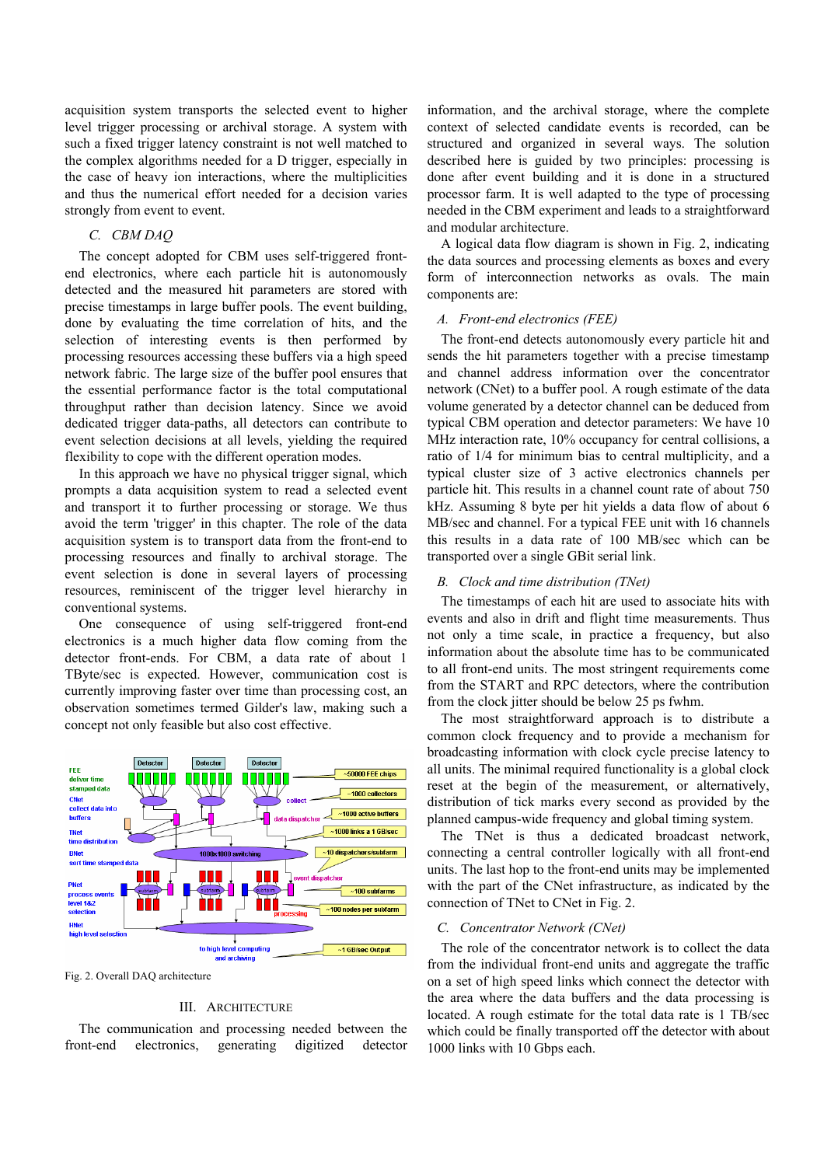acquisition system transports the selected event to higher level trigger processing or archival storage. A system with such a fixed trigger latency constraint is not well matched to the complex algorithms needed for a D trigger, especially in the case of heavy ion interactions, where the multiplicities and thus the numerical effort needed for a decision varies strongly from event to event.

## *C. CBM DAQ*

The concept adopted for CBM uses self-triggered frontend electronics, where each particle hit is autonomously detected and the measured hit parameters are stored with precise timestamps in large buffer pools. The event building, done by evaluating the time correlation of hits, and the selection of interesting events is then performed by processing resources accessing these buffers via a high speed network fabric. The large size of the buffer pool ensures that the essential performance factor is the total computational throughput rather than decision latency. Since we avoid dedicated trigger data-paths, all detectors can contribute to event selection decisions at all levels, yielding the required flexibility to cope with the different operation modes.

In this approach we have no physical trigger signal, which prompts a data acquisition system to read a selected event and transport it to further processing or storage. We thus avoid the term 'trigger' in this chapter. The role of the data acquisition system is to transport data from the front-end to processing resources and finally to archival storage. The event selection is done in several layers of processing resources, reminiscent of the trigger level hierarchy in conventional systems.

One consequence of using self-triggered front-end electronics is a much higher data flow coming from the detector front-ends. For CBM, a data rate of about 1 TByte/sec is expected. However, communication cost is currently improving faster over time than processing cost, an observation sometimes termed Gilder's law, making such a concept not only feasible but also cost effective.



Fig. 2. Overall DAQ architecture

# III. ARCHITECTURE

The communication and processing needed between the front-end electronics, generating digitized detector information, and the archival storage, where the complete context of selected candidate events is recorded, can be structured and organized in several ways. The solution described here is guided by two principles: processing is done after event building and it is done in a structured processor farm. It is well adapted to the type of processing needed in the CBM experiment and leads to a straightforward and modular architecture.

A logical data flow diagram is shown in Fig. 2, indicating the data sources and processing elements as boxes and every form of interconnection networks as ovals. The main components are:

## *A. Front-end electronics (FEE)*

The front-end detects autonomously every particle hit and sends the hit parameters together with a precise timestamp and channel address information over the concentrator network (CNet) to a buffer pool. A rough estimate of the data volume generated by a detector channel can be deduced from typical CBM operation and detector parameters: We have 10 MHz interaction rate, 10% occupancy for central collisions, a ratio of 1/4 for minimum bias to central multiplicity, and a typical cluster size of 3 active electronics channels per particle hit. This results in a channel count rate of about 750 kHz. Assuming 8 byte per hit yields a data flow of about 6 MB/sec and channel. For a typical FEE unit with 16 channels this results in a data rate of 100 MB/sec which can be transported over a single GBit serial link.

## *B. Clock and time distribution (TNet)*

The timestamps of each hit are used to associate hits with events and also in drift and flight time measurements. Thus not only a time scale, in practice a frequency, but also information about the absolute time has to be communicated to all front-end units. The most stringent requirements come from the START and RPC detectors, where the contribution from the clock jitter should be below 25 ps fwhm.

The most straightforward approach is to distribute a common clock frequency and to provide a mechanism for broadcasting information with clock cycle precise latency to all units. The minimal required functionality is a global clock reset at the begin of the measurement, or alternatively, distribution of tick marks every second as provided by the planned campus-wide frequency and global timing system.

The TNet is thus a dedicated broadcast network, connecting a central controller logically with all front-end units. The last hop to the front-end units may be implemented with the part of the CNet infrastructure, as indicated by the connection of TNet to CNet in Fig. 2.

#### *C. Concentrator Network (CNet)*

The role of the concentrator network is to collect the data from the individual front-end units and aggregate the traffic on a set of high speed links which connect the detector with the area where the data buffers and the data processing is located. A rough estimate for the total data rate is 1 TB/sec which could be finally transported off the detector with about 1000 links with 10 Gbps each.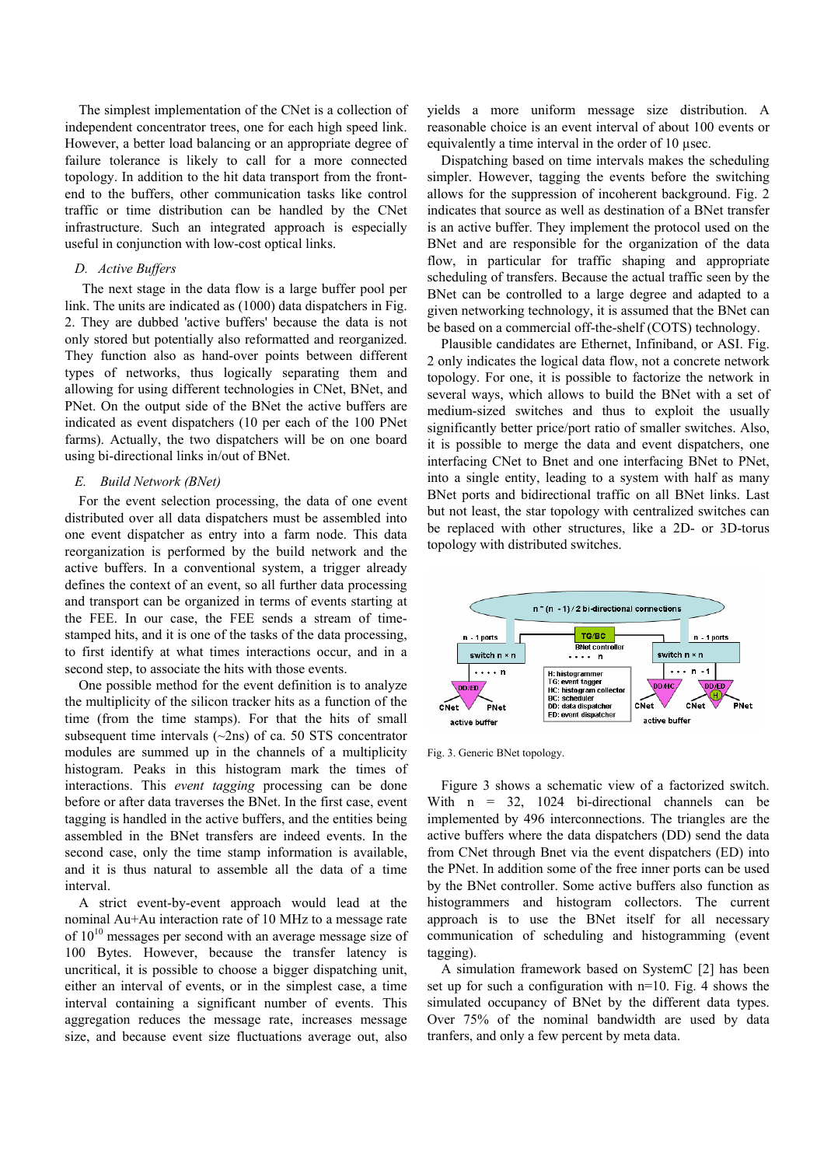The simplest implementation of the CNet is a collection of independent concentrator trees, one for each high speed link. However, a better load balancing or an appropriate degree of failure tolerance is likely to call for a more connected topology. In addition to the hit data transport from the frontend to the buffers, other communication tasks like control traffic or time distribution can be handled by the CNet infrastructure. Such an integrated approach is especially useful in conjunction with low-cost optical links.

## *D. Active Buffers*

 The next stage in the data flow is a large buffer pool per link. The units are indicated as (1000) data dispatchers in Fig. 2. They are dubbed 'active buffers' because the data is not only stored but potentially also reformatted and reorganized. They function also as hand-over points between different types of networks, thus logically separating them and allowing for using different technologies in CNet, BNet, and PNet. On the output side of the BNet the active buffers are indicated as event dispatchers (10 per each of the 100 PNet farms). Actually, the two dispatchers will be on one board using bi-directional links in/out of BNet.

### *E. Build Network (BNet)*

For the event selection processing, the data of one event distributed over all data dispatchers must be assembled into one event dispatcher as entry into a farm node. This data reorganization is performed by the build network and the active buffers. In a conventional system, a trigger already defines the context of an event, so all further data processing and transport can be organized in terms of events starting at the FEE. In our case, the FEE sends a stream of timestamped hits, and it is one of the tasks of the data processing, to first identify at what times interactions occur, and in a second step, to associate the hits with those events.

One possible method for the event definition is to analyze the multiplicity of the silicon tracker hits as a function of the time (from the time stamps). For that the hits of small subsequent time intervals (~2ns) of ca. 50 STS concentrator modules are summed up in the channels of a multiplicity histogram. Peaks in this histogram mark the times of interactions. This *event tagging* processing can be done before or after data traverses the BNet. In the first case, event tagging is handled in the active buffers, and the entities being assembled in the BNet transfers are indeed events. In the second case, only the time stamp information is available, and it is thus natural to assemble all the data of a time interval.

A strict event-by-event approach would lead at the nominal Au+Au interaction rate of 10 MHz to a message rate of  $10^{10}$  messages per second with an average message size of 100 Bytes. However, because the transfer latency is uncritical, it is possible to choose a bigger dispatching unit, either an interval of events, or in the simplest case, a time interval containing a significant number of events. This aggregation reduces the message rate, increases message size, and because event size fluctuations average out, also

yields a more uniform message size distribution. A reasonable choice is an event interval of about 100 events or equivalently a time interval in the order of 10 µsec.

Dispatching based on time intervals makes the scheduling simpler. However, tagging the events before the switching allows for the suppression of incoherent background. Fig. 2 indicates that source as well as destination of a BNet transfer is an active buffer. They implement the protocol used on the BNet and are responsible for the organization of the data flow, in particular for traffic shaping and appropriate scheduling of transfers. Because the actual traffic seen by the BNet can be controlled to a large degree and adapted to a given networking technology, it is assumed that the BNet can be based on a commercial off-the-shelf (COTS) technology.

Plausible candidates are Ethernet, Infiniband, or ASI. Fig. 2 only indicates the logical data flow, not a concrete network topology. For one, it is possible to factorize the network in several ways, which allows to build the BNet with a set of medium-sized switches and thus to exploit the usually significantly better price/port ratio of smaller switches. Also, it is possible to merge the data and event dispatchers, one interfacing CNet to Bnet and one interfacing BNet to PNet, into a single entity, leading to a system with half as many BNet ports and bidirectional traffic on all BNet links. Last but not least, the star topology with centralized switches can be replaced with other structures, like a 2D- or 3D-torus topology with distributed switches.



Fig. 3. Generic BNet topology.

Figure 3 shows a schematic view of a factorized switch. With n = 32, 1024 bi-directional channels can be implemented by 496 interconnections. The triangles are the active buffers where the data dispatchers (DD) send the data from CNet through Bnet via the event dispatchers (ED) into the PNet. In addition some of the free inner ports can be used by the BNet controller. Some active buffers also function as histogrammers and histogram collectors. The current approach is to use the BNet itself for all necessary communication of scheduling and histogramming (event tagging).

A simulation framework based on SystemC [2] has been set up for such a configuration with  $n=10$ . Fig. 4 shows the simulated occupancy of BNet by the different data types. Over 75% of the nominal bandwidth are used by data tranfers, and only a few percent by meta data.